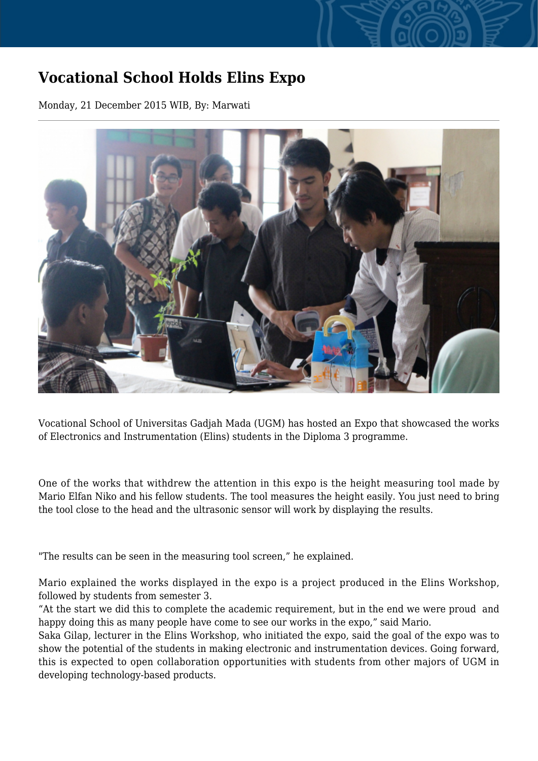## **Vocational School Holds Elins Expo**

Monday, 21 December 2015 WIB, By: Marwati



Vocational School of Universitas Gadjah Mada (UGM) has hosted an Expo that showcased the works of Electronics and Instrumentation (Elins) students in the Diploma 3 programme.

One of the works that withdrew the attention in this expo is the height measuring tool made by Mario Elfan Niko and his fellow students. The tool measures the height easily. You just need to bring the tool close to the head and the ultrasonic sensor will work by displaying the results.

"The results can be seen in the measuring tool screen," he explained.

Mario explained the works displayed in the expo is a project produced in the Elins Workshop, followed by students from semester 3.

"At the start we did this to complete the academic requirement, but in the end we were proud and happy doing this as many people have come to see our works in the expo," said Mario.

Saka Gilap, lecturer in the Elins Workshop, who initiated the expo, said the goal of the expo was to show the potential of the students in making electronic and instrumentation devices. Going forward, this is expected to open collaboration opportunities with students from other majors of UGM in developing technology-based products.